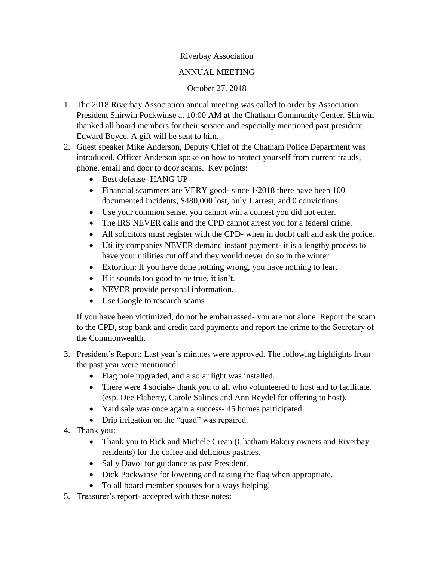## Riverbay Association

## ANNUAL MEETING

## October 27, 2018

- 1. The 2018 Riverbay Association annual meeting was called to order by Association President Shirwin Pockwinse at 10:00 AM at the Chatham Community Center. Shirwin thanked all board members for their service and especially mentioned past president Edward Boyce. A gift will be sent to him.
- 2. Guest speaker Mike Anderson, Deputy Chief of the Chatham Police Department was introduced. Officer Anderson spoke on how to protect yourself from current frauds, phone, email and door to door scams. Key points:
	- Best defense- HANG UP
	- Financial scammers are VERY good- since 1/2018 there have been 100 documented incidents, \$480,000 lost, only 1 arrest, and 0 convictions.
	- Use your common sense, you cannot win a contest you did not enter.
	- The IRS NEVER calls and the CPD cannot arrest you for a federal crime.
	- All solicitors must register with the CPD- when in doubt call and ask the police.
	- Utility companies NEVER demand instant payment- it is a lengthy process to have your utilities cut off and they would never do so in the winter.
	- Extortion: If you have done nothing wrong, you have nothing to fear.
	- If it sounds too good to be true, it isn't.
	- NEVER provide personal information.
	- Use Google to research scams

If you have been victimized, do not be embarrassed- you are not alone. Report the scam to the CPD, stop bank and credit card payments and report the crime to the Secretary of the Commonwealth.

- 3. President's Report: Last year's minutes were approved. The following highlights from the past year were mentioned:
	- Flag pole upgraded, and a solar light was installed.
	- There were 4 socials- thank you to all who volunteered to host and to facilitate. (esp. Dee Flaherty, Carole Salines and Ann Reydel for offering to host).
	- Yard sale was once again a success- 45 homes participated.
	- Drip irrigation on the "quad" was repaired.
- 4. Thank you:
	- Thank you to Rick and Michele Crean (Chatham Bakery owners and Riverbay residents) for the coffee and delicious pastries.
	- Sally Davol for guidance as past President.
	- Dick Pockwinse for lowering and raising the flag when appropriate.
	- To all board member spouses for always helping!
- 5. Treasurer's report- accepted with these notes: